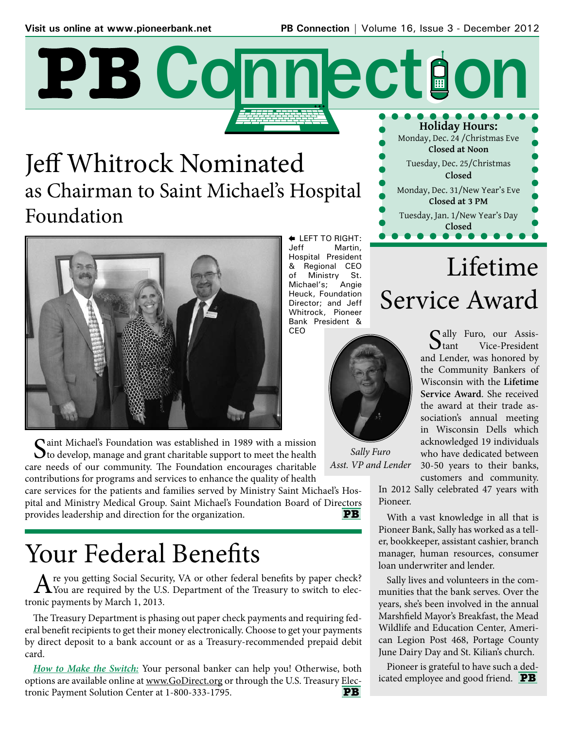# **Holiday Hours:** PB Connection

## Jeff Whitrock Nominated as Chairman to Saint Michael's Hospital Foundation



 $\bigcap$  aint Michael's Foundation was established in 1989 with a mission  $\mathbf \mathbf C$  to develop, manage and grant charitable support to meet the health care needs of our community. The Foundation encourages charitable contributions for programs and services to enhance the quality of health

care services for the patients and families served by Ministry Saint Michael's Hospital and Ministry Medical Group. Saint Michael's Foundation Board of Directors provides leadership and direction for the organization. **PB** 

## Your Federal Benefits

A re you getting Social Security, VA or other federal benefits by paper check?<br>You are required by the U.S. Department of the Treasury to switch to electronic payments by March 1, 2013.

The Treasury Department is phasing out paper check payments and requiring federal benefit recipients to get their money electronically. Choose to get your payments by direct deposit to a bank account or as a Treasury-recommended prepaid debit card.

*How to Make the Switch:* Your personal banker can help you! Otherwise, both options are available online at www.GoDirect.org or through the U.S. Treasury Electronic Payment Solution Center at 1-800-333-1795. **PB** 

**E** LEFT TO RIGHT:<br>Jeff Martin Martin, Hospital President & Regional CEO of Ministry St. Michael's; Angie Heuck, Foundation Director; and Jeff Whitrock, Pioneer Bank President & CEO



*Sally Furo Asst. VP and Lender*

Lifetime Service Award Sally Furo, our Assisand Lender, was honored by the Community Bankers of

Monday, Dec. 24 /Christmas Eve **Closed at Noon** Tuesday, Dec. 25/Christmas **Closed** Monday, Dec. 31/New Year's Eve **Closed at 3 PM** Tuesday, Jan. 1/New Year's Day **Closed**

> Wisconsin with the **Lifetime Service Award**. She received the award at their trade association's annual meeting in Wisconsin Dells which acknowledged 19 individuals who have dedicated between 30-50 years to their banks,

customers and community.

In 2012 Sally celebrated 47 years with Pioneer.

With a vast knowledge in all that is Pioneer Bank, Sally has worked as a teller, bookkeeper, assistant cashier, branch manager, human resources, consumer loan underwriter and lender.

Sally lives and volunteers in the communities that the bank serves. Over the years, she's been involved in the annual Marshfield Mayor's Breakfast, the Mead Wildlife and Education Center, American Legion Post 468, Portage County June Dairy Day and St. Kilian's church.

Pioneer is grateful to have such a dedicated employee and good friend. **PB**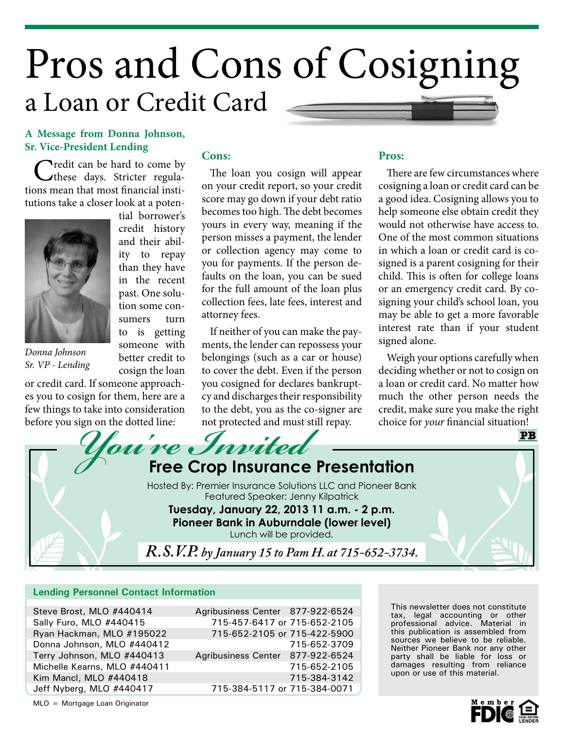## Pros and Cons of Cosigning a Loan or Credit Card

### **A Message from Donna Johnson, Sr. Vice-President Lending**

Credit can be hard to come by<br>
these days. Stricter regulations mean that most financial institutions take a closer look at a poten-

> tial borrower's credit history and their ability to repay than they have in the recent past. One solution some consumers turn to is getting someone with better credit to cosign the loan



*Donna Johnson Sr. VP - Lending*

or credit card. If someone approaches you to cosign for them, here are a few things to take into consideration before you sign on the dotted line:

### **Cons:**

The loan you cosign will appear on your credit report, so your credit score may go down if your debt ratio becomes too high. The debt becomes yours in every way, meaning if the person misses a payment, the lender or collection agency may come to you for payments. If the person defaults on the loan, you can be sued for the full amount of the loan plus collection fees, late fees, interest and attorney fees.

If neither of you can make the payments, the lender can repossess your belongings (such as a car or house) to cover the debt. Even if the person you cosigned for declares bankruptcy and discharges their responsibility to the debt, you as the co-signer are not protected and must still repay.

### **Pros:**

There are few circumstances where cosigning a loan or credit card can be a good idea. Cosigning allows you to help someone else obtain credit they would not otherwise have access to. One of the most common situations in which a loan or credit card is cosigned is a parent cosigning for their child. This is often for college loans or an emergency credit card. By cosigning your child's school loan, you may be able to get a more favorable interest rate than if your student signed alone.

Weigh your options carefully when deciding whether or not to cosign on a loan or credit card. No matter how much the other person needs the credit, make sure you make the right choice for *your* financial situation!



#### **Lending Personnel Contact Information**

Steve Brost, MLO #440414 Sally Furo, MLO #440415 Ryan Hackman, MLO #195022 Donna Johnson, MLO #440412 Terry Johnson, MLO #440413 Michelle Kearns, MLO #440411 Kim Mancl, MLO #440418 Jeff Nyberg, MLO #440417

Agribusiness Center 877-922-6524 715-457-6417 or 715-652-2105 715-652-2105 or 715-422-5900 715-652-3709 Agribusiness Center 877-922-6524 715-652-2105 715-384-3142 715-384-5117 or 715-384-0071

This newsletter does not constitute tax, legal accounting or other professional advice. Material in this publication is assembled from sources we believe to be reliable. Neither Pioneer Bank nor any other party shall be liable for loss or damages resulting from reliance upon or use of this material.

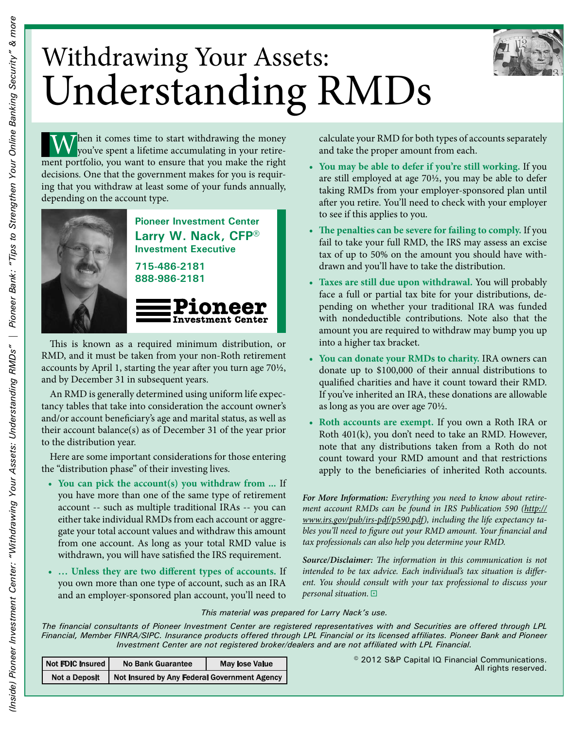

## Withdrawing Your Assets: Understanding RMDs

Then it comes time to start withdrawing the money you've spent a lifetime accumulating in your retirement portfolio, you want to ensure that you make the right decisions. One that the government makes for you is requiring that you withdraw at least some of your funds annually, depending on the account type.



**Pioneer Investment Center Larry W. Nack, CFP® Investment Executive**

**715-486-2181 888-986-2181**

### **Investment Center** This is known as a required minimum distribution, or

RMD, and it must be taken from your non-Roth retirement accounts by April 1, starting the year after you turn age 70½, and by December 31 in subsequent years.

An RMD is generally determined using uniform life expectancy tables that take into consideration the account owner's and/or account beneficiary's age and marital status, as well as their account balance(s) as of December 31 of the year prior to the distribution year.

Here are some important considerations for those entering the "distribution phase" of their investing lives.

- **You can pick the account(s) you withdraw from ...** If **•** you have more than one of the same type of retirement account -- such as multiple traditional IRAs -- you can either take individual RMDs from each account or aggregate your total account values and withdraw this amount from one account. As long as your total RMD value is withdrawn, you will have satisfied the IRS requirement.
- **… Unless they are two different types of accounts.** If **•** you own more than one type of account, such as an IRA and an employer-sponsored plan account, you'll need to

calculate your RMD for both types of accounts separately and take the proper amount from each.

- **You may be able to defer if you're still working.** If you **•** are still employed at age 70½, you may be able to defer taking RMDs from your employer-sponsored plan until after you retire. You'll need to check with your employer to see if this applies to you.
- **The penalties can be severe for failing to comply.** If you **•** fail to take your full RMD, the IRS may assess an excise tax of up to 50% on the amount you should have withdrawn and you'll have to take the distribution.
- **Taxes are still due upon withdrawal.** You will probably **•** face a full or partial tax bite for your distributions, depending on whether your traditional IRA was funded with nondeductible contributions. Note also that the amount you are required to withdraw may bump you up into a higher tax bracket.
- **You can donate your RMDs to charity.** IRA owners can **•** donate up to \$100,000 of their annual distributions to qualified charities and have it count toward their RMD. If you've inherited an IRA, these donations are allowable as long as you are over age 70½.
- **Roth accounts are exempt.** If you own a Roth IRA or **•** Roth 401(k), you don't need to take an RMD. However, note that any distributions taken from a Roth do not count toward your RMD amount and that restrictions apply to the beneficiaries of inherited Roth accounts.

*For More Information: Everything you need to know about retirement account RMDs can be found in IRS Publication 590 (http:// www.irs.gov/pub/irs-pdf/p590.pdf), including the life expectancy tables you'll need to figure out your RMD amount. Your financial and tax professionals can also help you determine your RMD.*

*Source/Disclaimer: The information in this communication is not intended to be tax advice. Each individual's tax situation is different. You should consult with your tax professional to discuss your personal situation.* 

#### *This material was prepared for Larry Nack's use.*

*The financial consultants of Pioneer Investment Center are registered representatives with and Securities are offered through LPL Financial, Member FINRA/SIPC. Insurance products offered through LPL Financial or its licensed affiliates. Pioneer Bank and Pioneer Investment Center are not registered broker/dealers and are not affiliated with LPL Financial.*

| Not FDIC insured     | <b>No Bank Guarantee</b>                     | <b>May lose Value</b> |
|----------------------|----------------------------------------------|-----------------------|
| <b>Not a Deposit</b> | Not Insured by Any Federal Government Agency |                       |

© 2012 S&P Capital IQ Financial Communications. All rights reserved.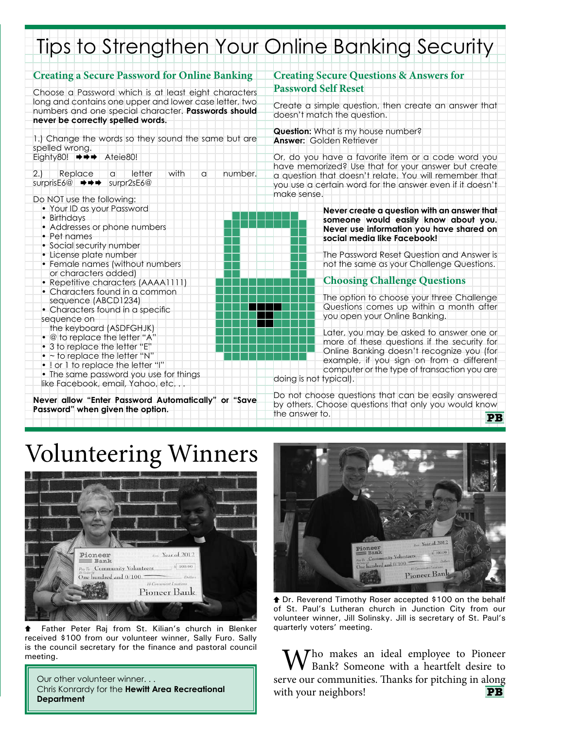## Tips to Strengthen Your Online Banking Security

| <b>Creating a Secure Password for Online Banking</b>                                                                                                                                                                                                   | <b>Creating Secure Questions &amp; Answers for</b>                                                                                                                                                                                                        |  |
|--------------------------------------------------------------------------------------------------------------------------------------------------------------------------------------------------------------------------------------------------------|-----------------------------------------------------------------------------------------------------------------------------------------------------------------------------------------------------------------------------------------------------------|--|
| Choose a Password which is at least eight characters                                                                                                                                                                                                   | <b>Password Self Reset</b>                                                                                                                                                                                                                                |  |
| long and contains one upper and lower case letter, two<br>numbers and one special character. Passwords should<br>never be correctly spelled words.                                                                                                     | Create a simple question, then create an answer that<br>doesn't match the question.                                                                                                                                                                       |  |
| 1.) Change the words so they sound the same but are<br>spelled wrong.                                                                                                                                                                                  | <b>Question:</b> What is my house number?<br><b>Answer: Golden Retriever</b>                                                                                                                                                                              |  |
| Eighty80! $\Rightarrow \Rightarrow$<br>Ateie80!                                                                                                                                                                                                        | Or, do you have a favorite item or a code word you                                                                                                                                                                                                        |  |
| Replace<br>letter<br>with<br>number.<br>2.1<br>$\alpha$<br>a<br>surprisE6@ $\rightarrow \rightarrow \rightarrow$ surpr2sE6@                                                                                                                            | have memorized? Use that for your answer but create<br>a question that doesn't relate. You will remember that<br>you use a certain word for the answer even if it doesn't<br>make sense.                                                                  |  |
| Do NOT use the following:                                                                                                                                                                                                                              |                                                                                                                                                                                                                                                           |  |
| • Your ID as your Password<br>• Birthdays<br>• Addresses or phone numbers<br>• Pet names                                                                                                                                                               | Never create a question with an answer that<br>someone would easily know about you.<br>Never use information you have shared on<br>social media like Facebook!                                                                                            |  |
| • Social security number<br>• License plate number<br>• Female names (without numbers                                                                                                                                                                  | The Password Reset Question and Answer is<br>not the same as your Challenge Questions.                                                                                                                                                                    |  |
| or characters added)<br>• Repetitive characters (AAAA1111)                                                                                                                                                                                             | <b>Choosing Challenge Questions</b>                                                                                                                                                                                                                       |  |
| • Characters found in a common<br>sequence (ABCD1234)<br>• Characters found in a specific<br>sequence on                                                                                                                                               | The option to choose your three Challenge<br>Questions comes up within a month after<br>you open your Online Banking.                                                                                                                                     |  |
| the keyboard (ASDFGHJK)<br>• @ to replace the letter "A"<br>• 3 to replace the letter "E"<br>$\bullet$ ~ to replace the letter "N"<br>• ! or 1 to replace the letter "I"<br>• The same password you use for things<br>like Facebook, email, Yahoo, etc | Later, you may be asked to answer one or<br>more of these questions if the security for<br>Online Banking doesn't recognize you (for<br>example, if you sign on from a different<br>computer or the type of transaction you are<br>doing is not typical). |  |
| Never allow "Enter Password Automatically" or "Save<br>Password" when given the option.                                                                                                                                                                | Do not choose questions that can be easily answered<br>by others. Choose questions that only you would know<br>the answer to.<br><b>DD</b>                                                                                                                |  |

## Volunteering Winners



 Father Peter Raj from St. Kilian's church in Blenker received \$100 from our volunteer winner, Sally Furo. Sally is the council secretary for the finance and pastoral council meeting.

Our other volunteer winner. . . Chris Konrardy for the **Hewitt Area Recreational Department**



**the Dr. Reverend Timothy Roser accepted \$100 on the behalf** of St. Paul's Lutheran church in Junction City from our volunteer winner, Jill Solinsky. Jill is secretary of St. Paul's quarterly voters' meeting.

 $M \wedge T$ ho makes an ideal employee to Pioneer Bank? Someone with a heartfelt desire to serve our communities. Thanks for pitching in along with your neighbors! **PB**